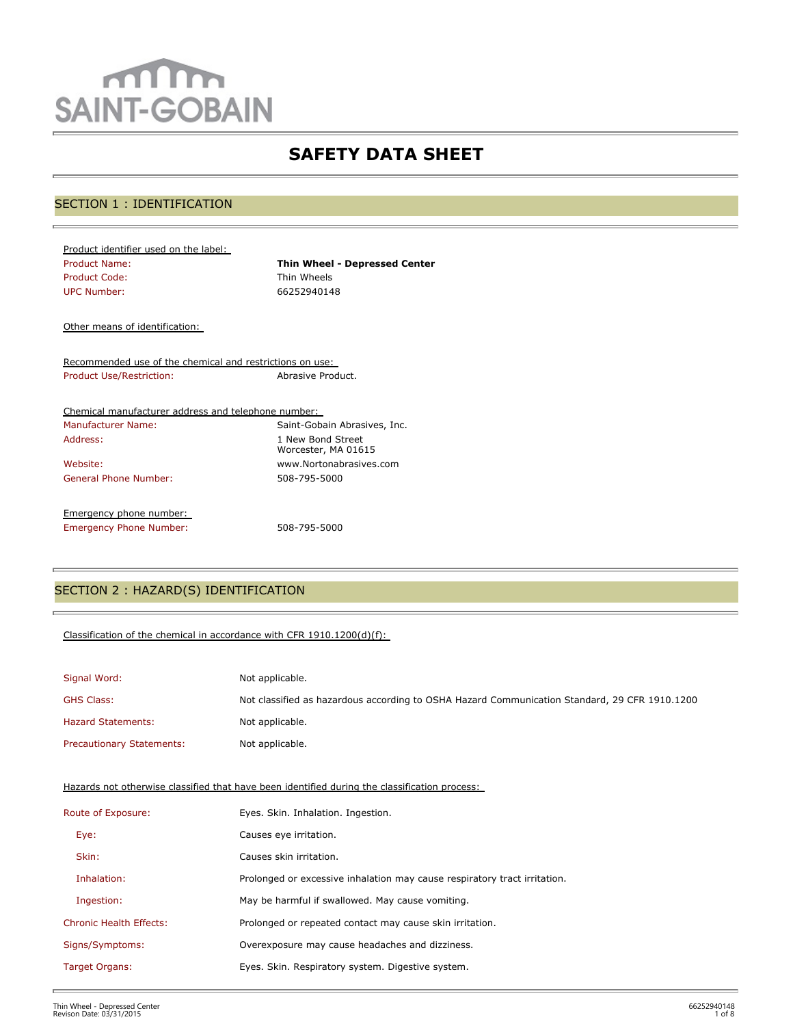# $m$ m **SAINT-GOBAIN**

## **SAFETY DATA SHEET**

## SECTION 1 : IDENTIFICATION

| Product identifier used on the label: |                                      |
|---------------------------------------|--------------------------------------|
| <b>Product Name:</b>                  | <b>Thin Wheel - Depressed Center</b> |
| Product Code:                         | Thin Wheels                          |
| UPC Number:                           | 66252940148                          |

Other means of identification:

Recommended use of the chemical and restrictions on use: Product Use/Restriction: Abrasive Product.

| Chemical manufacturer address and telephone number: |                                          |
|-----------------------------------------------------|------------------------------------------|
| <b>Manufacturer Name:</b>                           | Saint-Gobain Abrasives, Inc.             |
| Address:                                            | 1 New Bond Street<br>Worcester, MA 01615 |
| Website:                                            | www.Nortonabrasives.com                  |
| General Phone Number:                               | 508-795-5000                             |
| Emergency phone number:                             |                                          |
| <b>Emergency Phone Number:</b>                      | 508-795-5000                             |

## SECTION 2 : HAZARD(S) IDENTIFICATION

#### Classification of the chemical in accordance with CFR 1910.1200(d)(f):

| Signal Word:                     | Not applicable.                                                                               |
|----------------------------------|-----------------------------------------------------------------------------------------------|
| <b>GHS Class:</b>                | Not classified as hazardous according to OSHA Hazard Communication Standard, 29 CFR 1910.1200 |
| <b>Hazard Statements:</b>        | Not applicable.                                                                               |
| <b>Precautionary Statements:</b> | Not applicable.                                                                               |

Hazards not otherwise classified that have been identified during the classification process:

| Route of Exposure:             | Eyes. Skin. Inhalation. Ingestion.                                        |
|--------------------------------|---------------------------------------------------------------------------|
| Eye:                           | Causes eye irritation.                                                    |
| Skin:                          | Causes skin irritation.                                                   |
| Inhalation:                    | Prolonged or excessive inhalation may cause respiratory tract irritation. |
| Ingestion:                     | May be harmful if swallowed. May cause vomiting.                          |
| <b>Chronic Health Effects:</b> | Prolonged or repeated contact may cause skin irritation.                  |
| Signs/Symptoms:                | Overexposure may cause headaches and dizziness.                           |
| Target Organs:                 | Eyes. Skin. Respiratory system. Digestive system.                         |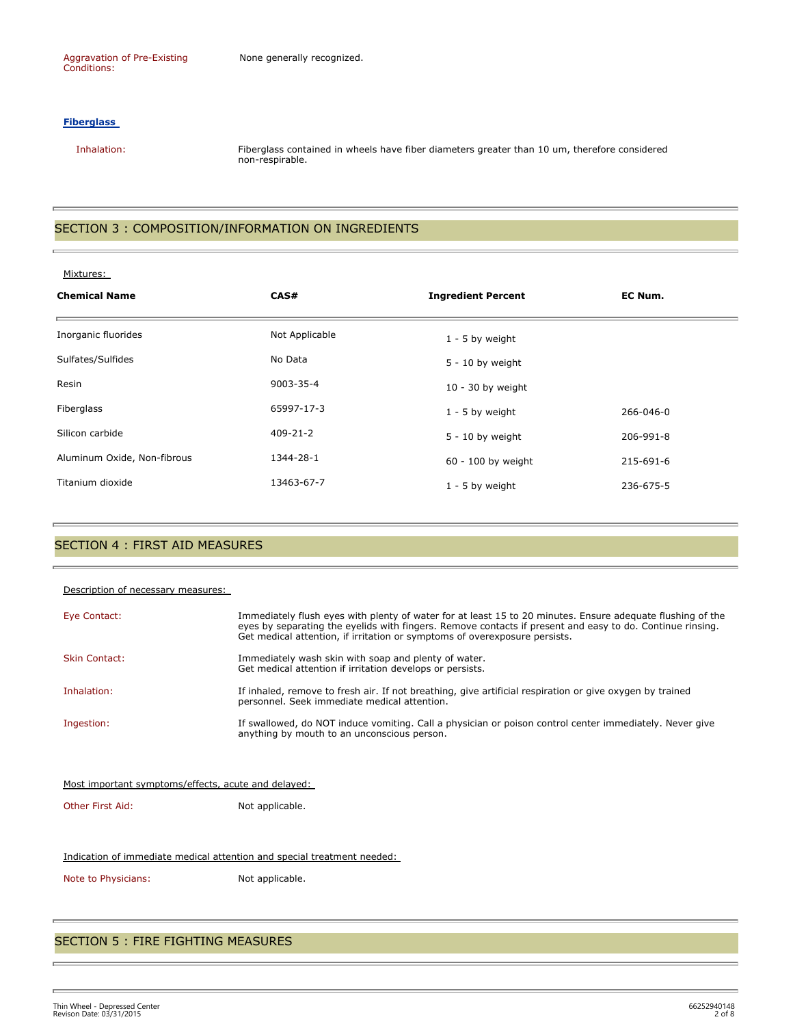#### **Fiberglass**

 Inhalation: Fiberglass contained in wheels have fiber diameters greater than 10 um, therefore considered non-respirable.

## SECTION 3 : COMPOSITION/INFORMATION ON INGREDIENTS

| Mixtures:                   |                |                           |           |  |
|-----------------------------|----------------|---------------------------|-----------|--|
| <b>Chemical Name</b>        | CAS#           | <b>Ingredient Percent</b> | EC Num.   |  |
| Inorganic fluorides         | Not Applicable | $1 - 5$ by weight         |           |  |
| Sulfates/Sulfides           | No Data        | $5 - 10$ by weight        |           |  |
| Resin                       | 9003-35-4      | $10 - 30$ by weight       |           |  |
| Fiberglass                  | 65997-17-3     | $1 - 5$ by weight         | 266-046-0 |  |
| Silicon carbide             | $409 - 21 - 2$ | $5 - 10$ by weight        | 206-991-8 |  |
| Aluminum Oxide, Non-fibrous | 1344-28-1      | 60 - 100 by weight        | 215-691-6 |  |
| Titanium dioxide            | 13463-67-7     | $1 - 5$ by weight         | 236-675-5 |  |

## SECTION 4 : FIRST AID MEASURES

| Description of necessary measures:                  |                                                                                                                                                                                                                                                                                                       |
|-----------------------------------------------------|-------------------------------------------------------------------------------------------------------------------------------------------------------------------------------------------------------------------------------------------------------------------------------------------------------|
| Eye Contact:                                        | Immediately flush eyes with plenty of water for at least 15 to 20 minutes. Ensure adequate flushing of the<br>eyes by separating the eyelids with fingers. Remove contacts if present and easy to do. Continue rinsing.<br>Get medical attention, if irritation or symptoms of overexposure persists. |
| <b>Skin Contact:</b>                                | Immediately wash skin with soap and plenty of water.<br>Get medical attention if irritation develops or persists.                                                                                                                                                                                     |
| Inhalation:                                         | If inhaled, remove to fresh air. If not breathing, give artificial respiration or give oxygen by trained<br>personnel. Seek immediate medical attention.                                                                                                                                              |
| Ingestion:                                          | If swallowed, do NOT induce vomiting. Call a physician or poison control center immediately. Never give<br>anything by mouth to an unconscious person.                                                                                                                                                |
|                                                     |                                                                                                                                                                                                                                                                                                       |
| Most important symptoms/effects, acute and delayed: |                                                                                                                                                                                                                                                                                                       |

Other First Aid: Not applicable.

#### Indication of immediate medical attention and special treatment needed:

Note to Physicians: Not applicable.

## SECTION 5 : FIRE FIGHTING MEASURES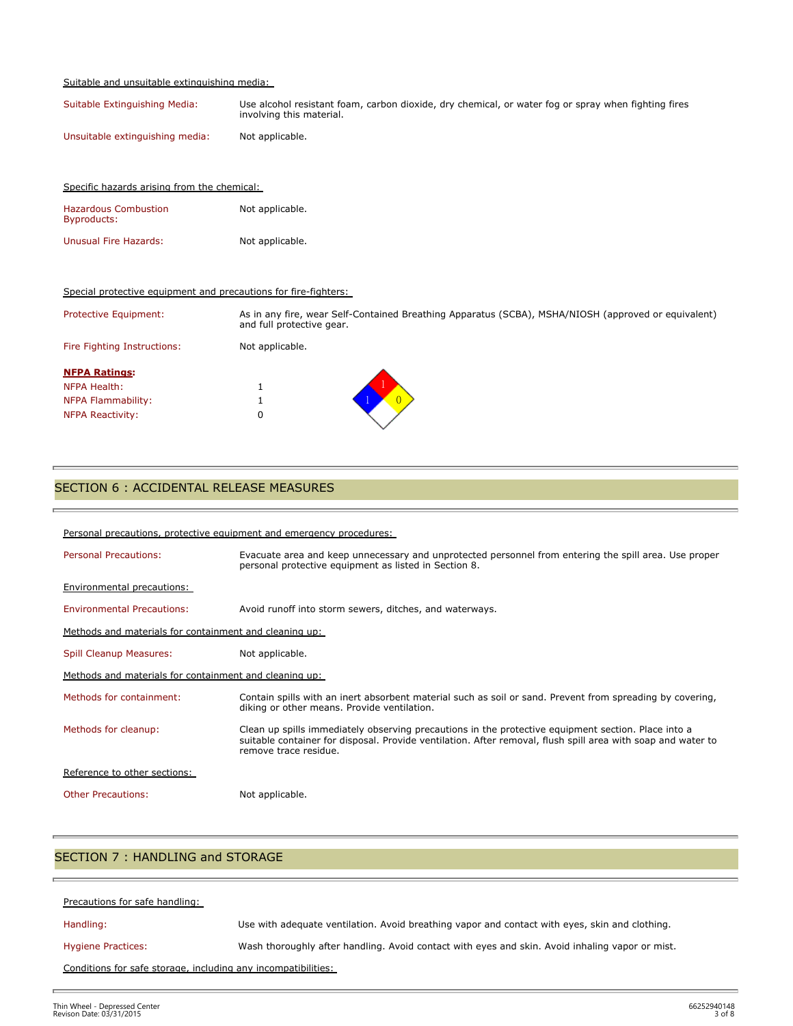#### Suitable and unsuitable extinguishing media:

Specific hazards arising from the chemical:

| Suitable Extinguishing Media:   | Use alcohol resistant foam, carbon dioxide, dry chemical, or water fog or spray when fighting fires<br>involving this material. |
|---------------------------------|---------------------------------------------------------------------------------------------------------------------------------|
| Unsuitable extinguishing media: | Not applicable.                                                                                                                 |

| <b>Hazardous Combustion</b><br>Byproducts:                      | Not applicable.                                                                                                                  |  |
|-----------------------------------------------------------------|----------------------------------------------------------------------------------------------------------------------------------|--|
| Unusual Fire Hazards:                                           | Not applicable.                                                                                                                  |  |
| Special protective equipment and precautions for fire-fighters: |                                                                                                                                  |  |
| Protective Equipment:                                           | As in any fire, wear Self-Contained Breathing Apparatus (SCBA), MSHA/NIOSH (approved or equivalent)<br>and full protective gear. |  |
| Fire Fighting Instructions:                                     | Not applicable.                                                                                                                  |  |
| <b>NFPA Ratings:</b>                                            |                                                                                                                                  |  |
| NFPA Health:                                                    | Ŧ.                                                                                                                               |  |
| NFPA Flammability:                                              |                                                                                                                                  |  |
| <b>NFPA Reactivity:</b>                                         | 0                                                                                                                                |  |

## SECTION 6 : ACCIDENTAL RELEASE MEASURES

| Personal precautions, protective equipment and emergency procedures: |                                                                                                                                                                                                                                              |  |  |
|----------------------------------------------------------------------|----------------------------------------------------------------------------------------------------------------------------------------------------------------------------------------------------------------------------------------------|--|--|
| <b>Personal Precautions:</b>                                         | Evacuate area and keep unnecessary and unprotected personnel from entering the spill area. Use proper<br>personal protective equipment as listed in Section 8.                                                                               |  |  |
| <b>Environmental precautions:</b>                                    |                                                                                                                                                                                                                                              |  |  |
| <b>Environmental Precautions:</b>                                    | Avoid runoff into storm sewers, ditches, and waterways.                                                                                                                                                                                      |  |  |
| Methods and materials for containment and cleaning up:               |                                                                                                                                                                                                                                              |  |  |
| Spill Cleanup Measures:                                              | Not applicable.                                                                                                                                                                                                                              |  |  |
| Methods and materials for containment and cleaning up:               |                                                                                                                                                                                                                                              |  |  |
| Methods for containment:                                             | Contain spills with an inert absorbent material such as soil or sand. Prevent from spreading by covering,<br>diking or other means. Provide ventilation.                                                                                     |  |  |
| Methods for cleanup:                                                 | Clean up spills immediately observing precautions in the protective equipment section. Place into a<br>suitable container for disposal. Provide ventilation. After removal, flush spill area with soap and water to<br>remove trace residue. |  |  |
| Reference to other sections:                                         |                                                                                                                                                                                                                                              |  |  |
| <b>Other Precautions:</b>                                            | Not applicable.                                                                                                                                                                                                                              |  |  |

## SECTION 7 : HANDLING and STORAGE

| Precautions for safe handling:                                |                                                                                                 |  |
|---------------------------------------------------------------|-------------------------------------------------------------------------------------------------|--|
| Handling:                                                     | Use with adequate ventilation. Avoid breathing vapor and contact with eyes, skin and clothing.  |  |
| <b>Hygiene Practices:</b>                                     | Wash thoroughly after handling. Avoid contact with eyes and skin. Avoid inhaling vapor or mist. |  |
| Conditions for safe storage, including any incompatibilities: |                                                                                                 |  |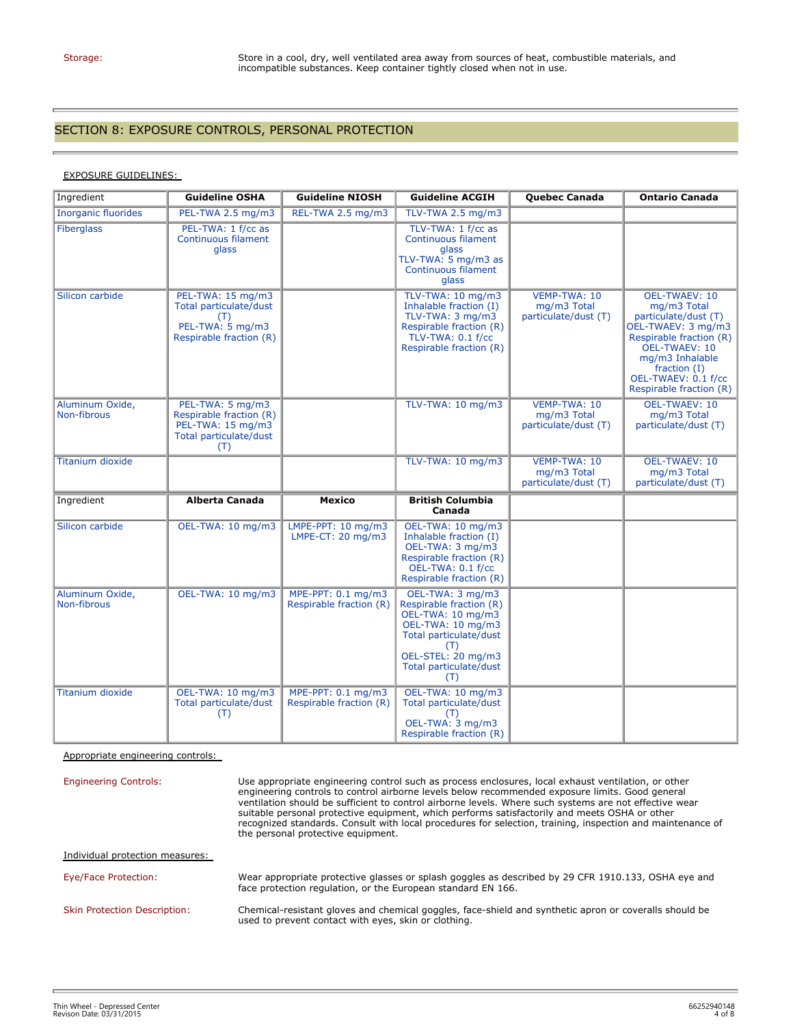#### SECTION 8: EXPOSURE CONTROLS, PERSONAL PROTECTION

#### EXPOSURE GUIDELINES:

| Ingredient                     | <b>Guideline OSHA</b>                                                                             | <b>Guideline NIOSH</b>                        | <b>Guideline ACGIH</b>                                                                                                                                                        | <b>Quebec Canada</b>                                       | <b>Ontario Canada</b>                                                                                                                                                                                                       |
|--------------------------------|---------------------------------------------------------------------------------------------------|-----------------------------------------------|-------------------------------------------------------------------------------------------------------------------------------------------------------------------------------|------------------------------------------------------------|-----------------------------------------------------------------------------------------------------------------------------------------------------------------------------------------------------------------------------|
| <b>Inorganic fluorides</b>     | PEL-TWA 2.5 mg/m3                                                                                 | REL-TWA 2.5 mg/m3                             | TLV-TWA 2.5 mg/m3                                                                                                                                                             |                                                            |                                                                                                                                                                                                                             |
| <b>Fiberglass</b>              | PEL-TWA: 1 f/cc as<br>Continuous filament<br>glass                                                |                                               | TLV-TWA: 1 f/cc as<br>Continuous filament<br>glass<br>TLV-TWA: 5 mg/m3 as<br>Continuous filament<br>glass                                                                     |                                                            |                                                                                                                                                                                                                             |
| Silicon carbide                | PEL-TWA: 15 mg/m3<br>Total particulate/dust<br>(T)<br>PEL-TWA: 5 mg/m3<br>Respirable fraction (R) |                                               | TLV-TWA: 10 mg/m3<br>Inhalable fraction (I)<br>TLV-TWA: 3 mg/m3<br>Respirable fraction (R)<br><b>TLV-TWA: 0.1 f/cc</b><br>Respirable fraction (R)                             | VEMP-TWA: 10<br>mg/m3 Total<br>particulate/dust (T)        | <b>OEL-TWAEV: 10</b><br>mg/m3 Total<br>particulate/dust (T)<br>OEL-TWAEV: 3 mg/m3<br>Respirable fraction (R)<br><b>OEL-TWAEV: 10</b><br>mg/m3 Inhalable<br>fraction $(I)$<br>OEL-TWAEV: 0.1 f/cc<br>Respirable fraction (R) |
| Aluminum Oxide,<br>Non-fibrous | PEL-TWA: 5 mg/m3<br>Respirable fraction (R)<br>PEL-TWA: 15 mg/m3<br>Total particulate/dust<br>(T) |                                               | TLV-TWA: 10 mg/m3                                                                                                                                                             | VEMP-TWA: 10<br>mg/m3 Total<br>particulate/dust (T)        | <b>OEL-TWAEV: 10</b><br>mg/m3 Total<br>particulate/dust (T)                                                                                                                                                                 |
| <b>Titanium dioxide</b>        |                                                                                                   |                                               | TLV-TWA: 10 mg/m3                                                                                                                                                             | <b>VEMP-TWA: 10</b><br>mg/m3 Total<br>particulate/dust (T) | <b>OEL-TWAEV: 10</b><br>mg/m3 Total<br>particulate/dust (T)                                                                                                                                                                 |
| Ingredient                     | <b>Alberta Canada</b>                                                                             | <b>Mexico</b>                                 | <b>British Columbia</b><br>Canada                                                                                                                                             |                                                            |                                                                                                                                                                                                                             |
| Silicon carbide                | OEL-TWA: 10 mg/m3                                                                                 | LMPE-PPT: 10 mg/m3<br>LMPE-CT: 20 mg/m3       | OEL-TWA: 10 mg/m3<br>Inhalable fraction (I)<br>OEL-TWA: 3 mg/m3<br>Respirable fraction (R)<br>OEL-TWA: 0.1 f/cc<br>Respirable fraction (R)                                    |                                                            |                                                                                                                                                                                                                             |
| Aluminum Oxide,<br>Non-fibrous | OEL-TWA: 10 mg/m3                                                                                 | MPE-PPT: 0.1 mg/m3<br>Respirable fraction (R) | OEL-TWA: 3 mg/m3<br>Respirable fraction (R)<br>OEL-TWA: 10 mg/m3<br>OEL-TWA: 10 mg/m3<br>Total particulate/dust<br>(T)<br>OEL-STEL: 20 mg/m3<br>Total particulate/dust<br>(T) |                                                            |                                                                                                                                                                                                                             |
| Titanium dioxide               | OEL-TWA: 10 mg/m3<br>Total particulate/dust<br>(T)                                                | MPE-PPT: 0.1 mg/m3<br>Respirable fraction (R) | OEL-TWA: 10 mg/m3<br>Total particulate/dust<br>(T)<br>OEL-TWA: 3 mg/m3<br>Respirable fraction (R)                                                                             |                                                            |                                                                                                                                                                                                                             |

Appropriate engineering controls:

Engineering Controls: Use appropriate engineering control such as process enclosures, local exhaust ventilation, or other engineering controls to control airborne levels below recommended exposure limits. Good general ventilation should be sufficient to control airborne levels. Where such systems are not effective wear suitable personal protective equipment, which performs satisfactorily and meets OSHA or other recognized standards. Consult with local procedures for selection, training, inspection and maintenance of the personal protective equipment. Individual protection measures: Eye/Face Protection: Wear appropriate protective glasses or splash goggles as described by 29 CFR 1910.133, OSHA eye and face protection regulation, or the European standard EN 166. Skin Protection Description: Chemical-resistant gloves and chemical goggles, face-shield and synthetic apron or coveralls should be used to prevent contact with eyes, skin or clothing.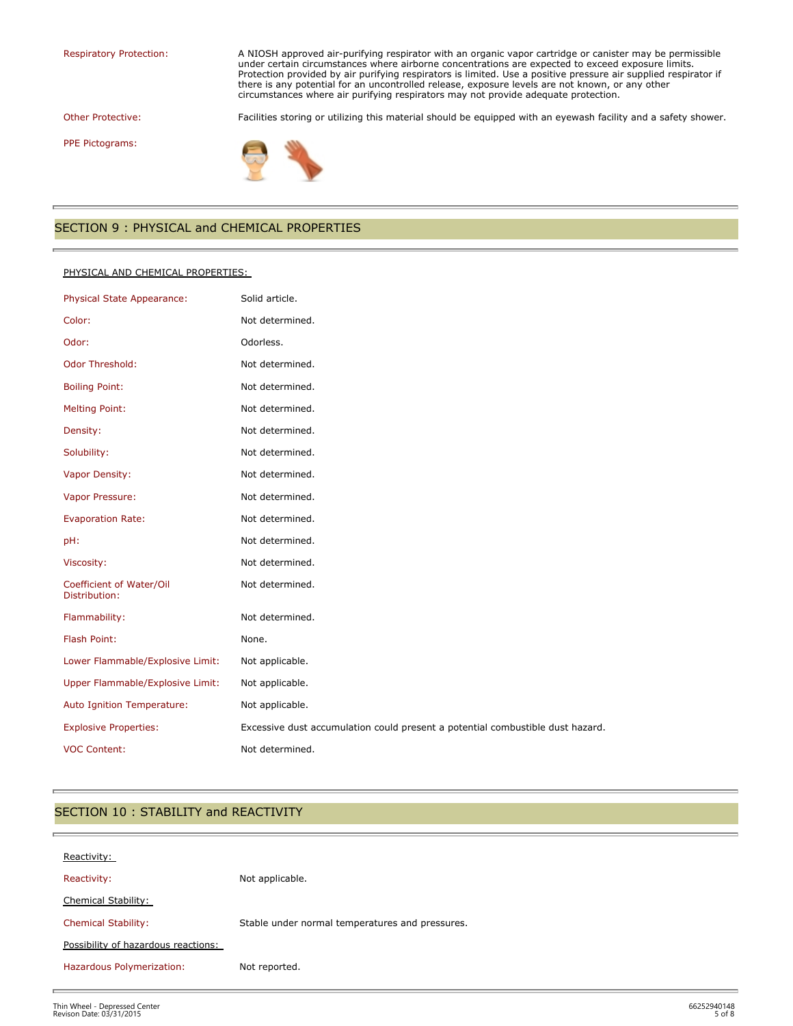Respiratory Protection: A NIOSH approved air-purifying respirator with an organic vapor cartridge or canister may be permissible under certain circumstances where airborne concentrations are expected to exceed exposure limits. Protection provided by air purifying respirators is limited. Use a positive pressure air supplied respirator if there is any potential for an uncontrolled release, exposure levels are not known, or any other circumstances where air purifying respirators may not provide adequate protection.

Other Protective: Facilities storing or utilizing this material should be equipped with an eyewash facility and a safety shower.

PPE Pictograms:



## SECTION 9 : PHYSICAL and CHEMICAL PROPERTIES

#### PHYSICAL AND CHEMICAL PROPERTIES:

| Physical State Appearance:                | Solid article.                                                                 |
|-------------------------------------------|--------------------------------------------------------------------------------|
| Color:                                    | Not determined.                                                                |
| Odor:                                     | Odorless.                                                                      |
| Odor Threshold:                           | Not determined.                                                                |
| <b>Boiling Point:</b>                     | Not determined.                                                                |
| <b>Melting Point:</b>                     | Not determined.                                                                |
| Density:                                  | Not determined.                                                                |
| Solubility:                               | Not determined.                                                                |
| Vapor Density:                            | Not determined.                                                                |
| Vapor Pressure:                           | Not determined.                                                                |
| <b>Evaporation Rate:</b>                  | Not determined.                                                                |
| pH:                                       | Not determined.                                                                |
| Viscosity:                                | Not determined.                                                                |
| Coefficient of Water/Oil<br>Distribution: | Not determined.                                                                |
| Flammability:                             | Not determined.                                                                |
| Flash Point:                              | None.                                                                          |
| Lower Flammable/Explosive Limit:          | Not applicable.                                                                |
| Upper Flammable/Explosive Limit:          | Not applicable.                                                                |
| Auto Ignition Temperature:                | Not applicable.                                                                |
| <b>Explosive Properties:</b>              | Excessive dust accumulation could present a potential combustible dust hazard. |
| <b>VOC Content:</b>                       | Not determined.                                                                |

## SECTION 10 : STABILITY and REACTIVITY

| Reactivity:                         |                                                 |
|-------------------------------------|-------------------------------------------------|
| Reactivity:                         | Not applicable.                                 |
| <b>Chemical Stability:</b>          |                                                 |
| <b>Chemical Stability:</b>          | Stable under normal temperatures and pressures. |
| Possibility of hazardous reactions: |                                                 |
| Hazardous Polymerization:           | Not reported.                                   |
|                                     |                                                 |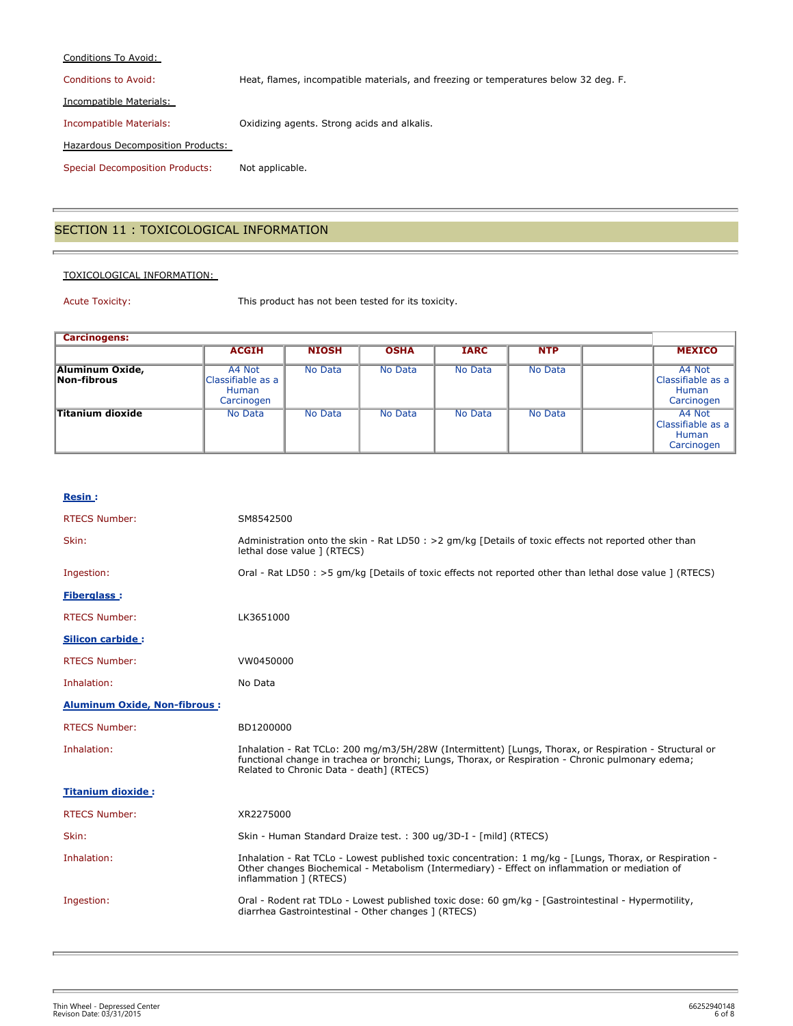#### Conditions To Avoid:

Conditions to Avoid: Heat, flames, incompatible materials, and freezing or temperatures below 32 deg. F.

Incompatible Materials:

Incompatible Materials: Oxidizing agents. Strong acids and alkalis.

Hazardous Decomposition Products:

Special Decomposition Products: Not applicable.

## SECTION 11 : TOXICOLOGICAL INFORMATION

#### TOXICOLOGICAL INFORMATION:

Acute Toxicity: This product has not been tested for its toxicity.

| <b>Carcinogens:</b>            |                                                           |              |             |             |            |  |                                                           |
|--------------------------------|-----------------------------------------------------------|--------------|-------------|-------------|------------|--|-----------------------------------------------------------|
|                                | <b>ACGIH</b>                                              | <b>NIOSH</b> | <b>OSHA</b> | <b>IARC</b> | <b>NTP</b> |  | <b>MEXICO</b>                                             |
| Aluminum Oxide,<br>Non-fibrous | A4 Not<br>Classifiable as a<br><b>Human</b><br>Carcinogen | No Data      | No Data     | No Data     | No Data    |  | A4 Not<br>Classifiable as a<br>Human<br>Carcinogen        |
| <b>Titanium dioxide</b>        | No Data                                                   | No Data      | No Data     | No Data     | No Data    |  | A4 Not<br>Classifiable as a<br><b>Human</b><br>Carcinogen |

#### **Resin :**

| <b>RTECS Number:</b>                | SM8542500                                                                                                                                                                                                                                              |
|-------------------------------------|--------------------------------------------------------------------------------------------------------------------------------------------------------------------------------------------------------------------------------------------------------|
| Skin:                               | Administration onto the skin - Rat LD50 : > 2 gm/kg [Details of toxic effects not reported other than<br>lethal dose value ] (RTECS)                                                                                                                   |
| Ingestion:                          | Oral - Rat LD50 : >5 qm/kg [Details of toxic effects not reported other than lethal dose value ] (RTECS)                                                                                                                                               |
| <b>Fiberglass:</b>                  |                                                                                                                                                                                                                                                        |
| <b>RTECS Number:</b>                | LK3651000                                                                                                                                                                                                                                              |
| <b>Silicon carbide:</b>             |                                                                                                                                                                                                                                                        |
| <b>RTECS Number:</b>                | VW0450000                                                                                                                                                                                                                                              |
| Inhalation:                         | No Data                                                                                                                                                                                                                                                |
| <b>Aluminum Oxide, Non-fibrous:</b> |                                                                                                                                                                                                                                                        |
| <b>RTECS Number:</b>                | BD1200000                                                                                                                                                                                                                                              |
| Inhalation:                         | Inhalation - Rat TCLo: 200 mg/m3/5H/28W (Intermittent) [Lungs, Thorax, or Respiration - Structural or<br>functional change in trachea or bronchi; Lungs, Thorax, or Respiration - Chronic pulmonary edema;<br>Related to Chronic Data - death] (RTECS) |
| <b>Titanium dioxide:</b>            |                                                                                                                                                                                                                                                        |
| <b>RTECS Number:</b>                | XR2275000                                                                                                                                                                                                                                              |
| Skin:                               | Skin - Human Standard Draize test. : 300 ug/3D-I - [mild] (RTECS)                                                                                                                                                                                      |
| Inhalation:                         | Inhalation - Rat TCLo - Lowest published toxic concentration: 1 mg/kg - [Lungs, Thorax, or Respiration -<br>Other changes Biochemical - Metabolism (Intermediary) - Effect on inflammation or mediation of<br>inflammation ] (RTECS)                   |
| Ingestion:                          | Oral - Rodent rat TDLo - Lowest published toxic dose: 60 qm/kq - [Gastrointestinal - Hypermotility,<br>diarrhea Gastrointestinal - Other changes ] (RTECS)                                                                                             |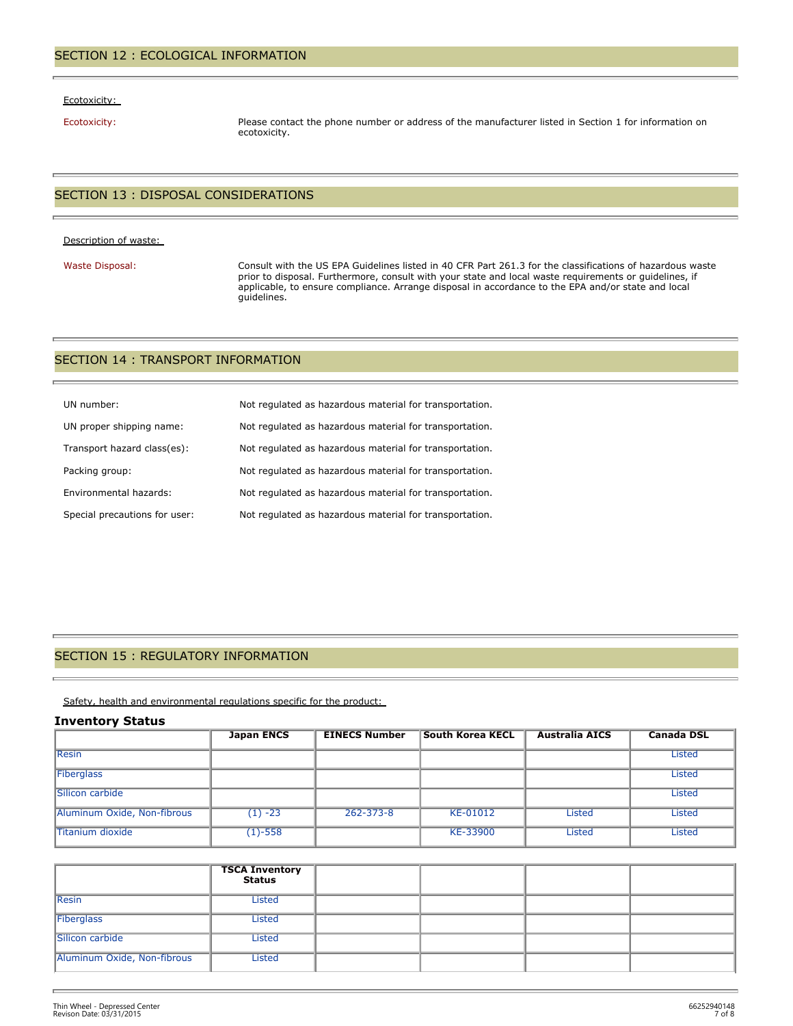#### Ecotoxicity:

Ecotoxicity: Please contact the phone number or address of the manufacturer listed in Section 1 for information on ecotoxicity.

## SECTION 13 : DISPOSAL CONSIDERATIONS

#### Description of waste:

Waste Disposal: Consult with the US EPA Guidelines listed in 40 CFR Part 261.3 for the classifications of hazardous waste prior to disposal. Furthermore, consult with your state and local waste requirements or guidelines, if applicable, to ensure compliance. Arrange disposal in accordance to the EPA and/or state and local guidelines.

#### SECTION 14 : TRANSPORT INFORMATION

| UN number:                    | Not regulated as hazardous material for transportation. |
|-------------------------------|---------------------------------------------------------|
| UN proper shipping name:      | Not regulated as hazardous material for transportation. |
| Transport hazard class(es):   | Not regulated as hazardous material for transportation. |
| Packing group:                | Not regulated as hazardous material for transportation. |
| Environmental hazards:        | Not regulated as hazardous material for transportation. |
| Special precautions for user: | Not regulated as hazardous material for transportation. |

## SECTION 15 : REGULATORY INFORMATION

Safety, health and environmental regulations specific for the product:

#### **Inventory Status**

|                             | <b>Japan ENCS</b> | <b>EINECS Number</b> | <b>South Korea KECL</b> | <b>Australia AICS</b> | <b>Canada DSL</b> |
|-----------------------------|-------------------|----------------------|-------------------------|-----------------------|-------------------|
| <b>Resin</b>                |                   |                      |                         |                       | <b>Listed</b>     |
| Fiberglass                  |                   |                      |                         |                       | <b>Listed</b>     |
| Silicon carbide             |                   |                      |                         |                       | <b>Listed</b>     |
| Aluminum Oxide, Non-fibrous | $(1) -23$         | $262 - 373 - 8$      | KE-01012                | <b>Listed</b>         | <b>Listed</b>     |
| <b>Titanium dioxide</b>     | $(1) - 558$       |                      | KE-33900                | <b>Listed</b>         | <b>Listed</b>     |

|                             | <b>TSCA Inventory</b><br>Status |  |  |
|-----------------------------|---------------------------------|--|--|
| Resin                       | Listed                          |  |  |
| Fiberglass                  | Listed                          |  |  |
| Silicon carbide             | Listed                          |  |  |
| Aluminum Oxide, Non-fibrous | Listed                          |  |  |